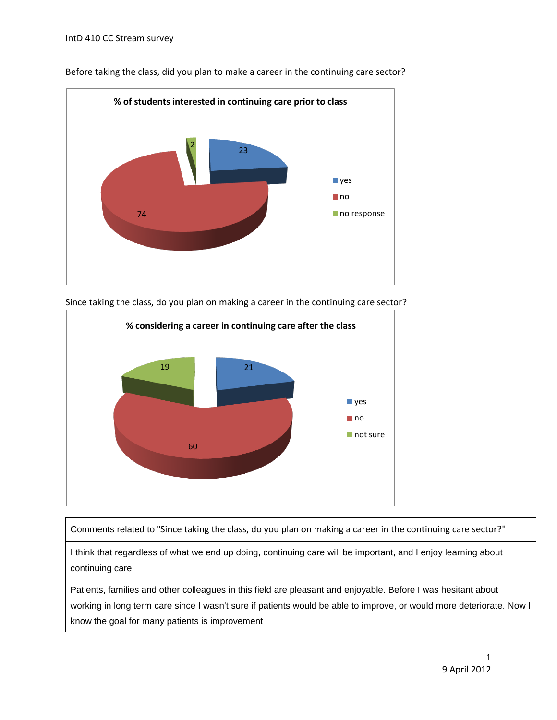

Before taking the class, did you plan to make a career in the continuing care sector?



Since taking the class, do you plan on making a career in the continuing care sector?

Comments related to "Since taking the class, do you plan on making a career in the continuing care sector?"

I think that regardless of what we end up doing, continuing care will be important, and I enjoy learning about continuing care

Patients, families and other colleagues in this field are pleasant and enjoyable. Before I was hesitant about working in long term care since I wasn't sure if patients would be able to improve, or would more deteriorate. Now I know the goal for many patients is improvement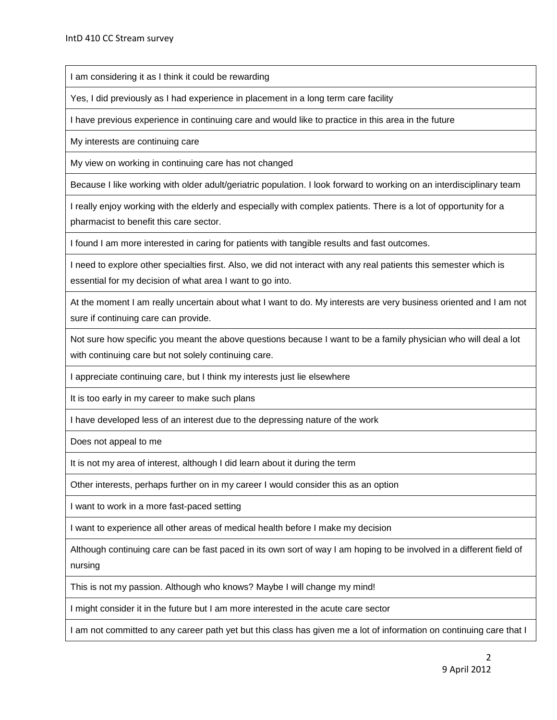I am considering it as I think it could be rewarding

Yes, I did previously as I had experience in placement in a long term care facility

I have previous experience in continuing care and would like to practice in this area in the future

My interests are continuing care

My view on working in continuing care has not changed

Because I like working with older adult/geriatric population. I look forward to working on an interdisciplinary team

I really enjoy working with the elderly and especially with complex patients. There is a lot of opportunity for a pharmacist to benefit this care sector.

I found I am more interested in caring for patients with tangible results and fast outcomes.

I need to explore other specialties first. Also, we did not interact with any real patients this semester which is essential for my decision of what area I want to go into.

At the moment I am really uncertain about what I want to do. My interests are very business oriented and I am not sure if continuing care can provide.

Not sure how specific you meant the above questions because I want to be a family physician who will deal a lot with continuing care but not solely continuing care.

I appreciate continuing care, but I think my interests just lie elsewhere

It is too early in my career to make such plans

I have developed less of an interest due to the depressing nature of the work

Does not appeal to me

It is not my area of interest, although I did learn about it during the term

Other interests, perhaps further on in my career I would consider this as an option

I want to work in a more fast-paced setting

I want to experience all other areas of medical health before I make my decision

Although continuing care can be fast paced in its own sort of way I am hoping to be involved in a different field of nursing

This is not my passion. Although who knows? Maybe I will change my mind!

I might consider it in the future but I am more interested in the acute care sector

I am not committed to any career path yet but this class has given me a lot of information on continuing care that I